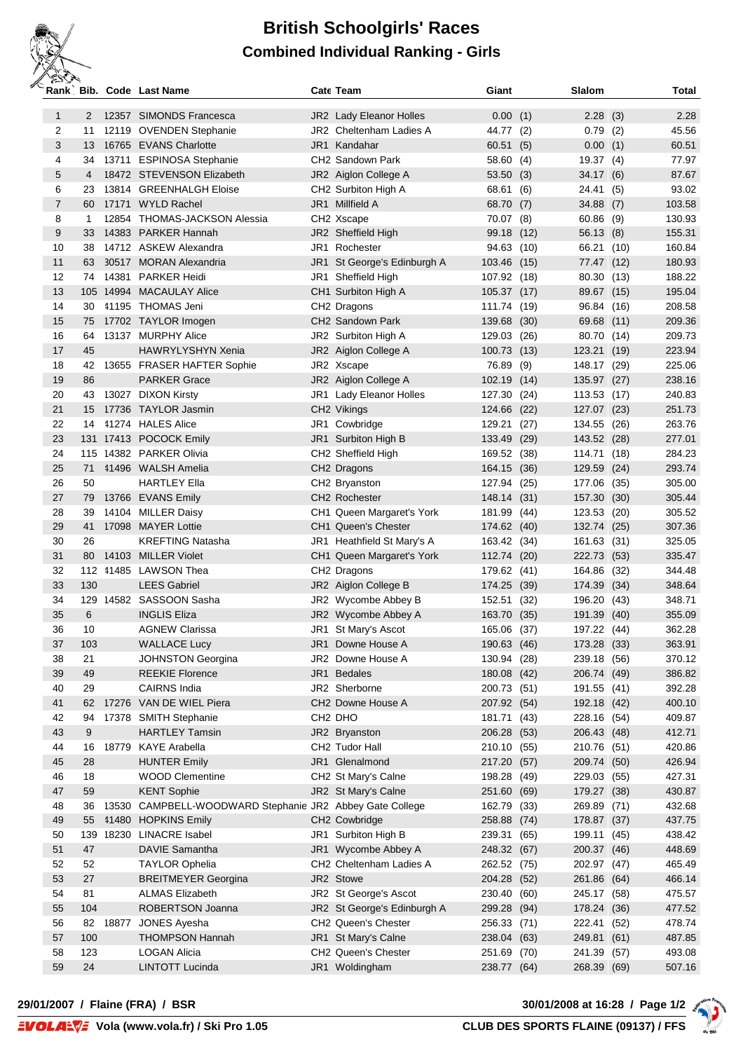## **British Schoolgirls' Races Combined Individual Ranking - Girls**

| ک سر دستان     |          | Rank, Bib. Code Last Name                                | Cate Team                                | Giant                      | Slalom                |      | Total            |
|----------------|----------|----------------------------------------------------------|------------------------------------------|----------------------------|-----------------------|------|------------------|
| $\mathbf{1}$   | 2        | 12357 SIMONDS Francesca                                  | <b>JR2</b> Lady Eleanor Holles           | 0.00(1)                    | 2.28                  | (3)  | 2.28             |
| $\overline{2}$ | 11       | 12119 OVENDEN Stephanie                                  | JR2 Cheltenham Ladies A                  | 44.77 (2)                  | 0.79                  | (2)  | 45.56            |
| 3              | 13       | 16765 EVANS Charlotte                                    | JR1 Kandahar                             | 60.51(5)                   | 0.00                  | (1)  | 60.51            |
| 4              | 34       | 13711 ESPINOSA Stephanie                                 | CH <sub>2</sub> Sandown Park             | 58.60 (4)                  | 19.37                 | (4)  | 77.97            |
| 5              | 4        | 18472 STEVENSON Elizabeth                                | JR2 Aiglon College A                     | 53.50                      | (3)<br>34.17          | (6)  | 87.67            |
| 6              | 23       | 13814 GREENHALGH Eloise                                  | CH <sub>2</sub> Surbiton High A          | 68.61                      | (6)<br>24.41          | (5)  | 93.02            |
| $\overline{7}$ | 60       | 17171 WYLD Rachel                                        | JR1 Millfield A                          | 68.70                      | (7)<br>34.88          | (7)  | 103.58           |
| 8              | 1        | 12854 THOMAS-JACKSON Alessia                             | CH2 Xscape                               | 70.07                      | (8)<br>60.86          | (9)  | 130.93           |
| 9              | 33       | 14383 PARKER Hannah                                      | JR2 Sheffield High                       | 99.18                      | (12)<br>56.13         | (8)  | 155.31           |
| 10             | 38       | 14712 ASKEW Alexandra                                    | JR1 Rochester                            | 94.63                      | 66.21<br>(10)         | (10) | 160.84           |
| 11             | 63       | 30517 MORAN Alexandria                                   | JR1 St George's Edinburgh A              | 103.46                     | (15)<br>77.47         | (12) | 180.93           |
| 12             | 74       | 14381 PARKER Heidi                                       | JR1 Sheffield High                       | 107.92                     | 80.30<br>(18)         | (13) | 188.22           |
| 13             |          | 105 14994 MACAULAY Alice                                 | CH1 Surbiton High A                      | 105.37                     | (17)<br>89.67         | (15) | 195.04           |
| 14             | 30       | 41195 THOMAS Jeni                                        | CH <sub>2</sub> Dragons                  | 111.74 (19)                | 96.84                 | (16) | 208.58           |
| 15             | 75       | 17702 TAYLOR Imogen                                      | CH2 Sandown Park                         | 139.68                     | (30)<br>69.68         | (11) | 209.36           |
| 16             | 64       | 13137 MURPHY Alice                                       | JR2 Surbiton High A                      | 129.03                     | (26)<br>80.70         | (14) | 209.73           |
| 17             | 45       | <b>HAWRYLYSHYN Xenia</b>                                 | JR2 Aiglon College A                     | 100.73                     | (13)<br>123.21        | (19) | 223.94           |
| 18             | 42       | 13655 FRASER HAFTER Sophie                               | JR2 Xscape                               | 76.89                      | (9)<br>148.17         | (29) | 225.06           |
| 19             | 86       | <b>PARKER Grace</b>                                      | JR2 Aiglon College A                     | 102.19                     | (14)<br>135.97        | (27) | 238.16           |
| 20             | 43       | 13027 DIXON Kirsty                                       | JR1 Lady Eleanor Holles                  | 127.30                     | (24)<br>113.53        | (17) | 240.83           |
| 21             | 15       | 17736 TAYLOR Jasmin                                      | CH2 Vikings                              | 124.66                     | (22)<br>127.07        | (23) | 251.73           |
| 22             | 14       | 41274 HALES Alice                                        | JR1 Cowbridge                            | 129.21                     | (27)<br>134.55        | (26) | 263.76           |
| 23             |          | 131 17413 POCOCK Emily                                   | JR1 Surbiton High B                      | 133.49                     | (29)<br>143.52        | (28) | 277.01           |
| 24             |          | 115 14382 PARKER Olivia                                  | CH2 Sheffield High                       | 169.52                     | (38)<br>114.71        | (18) | 284.23           |
| 25             | 71       | 41496 WALSH Amelia                                       | CH2 Dragons                              | 164.15 (36)                | 129.59                | (24) | 293.74           |
| 26             | 50       | <b>HARTLEY Ella</b>                                      | CH2 Bryanston                            | 127.94 (25)                | 177.06                | (35) | 305.00           |
| 27             | 79       | 13766 EVANS Emily                                        | CH2 Rochester                            | 148.14 (31)                | 157.30                | (30) | 305.44           |
| 28             | 39       | 14104 MILLER Daisy                                       | CH1 Queen Margaret's York                | 181.99                     | 123.53<br>(44)        | (20) | 305.52           |
| 29             | 41       | 17098 MAYER Lottie                                       | CH1 Queen's Chester                      | 174.62 (40)                | 132.74                | (25) | 307.36           |
| 30             | 26       | <b>KREFTING Natasha</b>                                  | JR1 Heathfield St Mary's A               | 163.42 (34)                | 161.63                | (31) | 325.05           |
| 31             | 80       | 14103 MILLER Violet                                      | CH1 Queen Margaret's York                | 112.74 (20)                | 222.73                | (53) | 335.47           |
| 32             |          | 112 41485 LAWSON Thea                                    | CH <sub>2</sub> Dragons                  | 179.62 (41)                | 164.86                | (32) | 344.48           |
| 33             | 130      | <b>LEES Gabriel</b>                                      | JR2 Aiglon College B                     | 174.25 (39)                | 174.39                | (34) | 348.64           |
| 34             |          | 129 14582 SASSOON Sasha                                  | JR2 Wycombe Abbey B                      | 152.51                     | 196.20<br>(32)        | (43) | 348.71           |
| 35             | 6        | <b>INGLIS Eliza</b>                                      | JR2 Wycombe Abbey A                      | 163.70                     | 191.39<br>(35)        | (40) | 355.09           |
| 36             | 10       | <b>AGNEW Clarissa</b>                                    | JR1 St Mary's Ascot                      | 165.06 (37)                | 197.22                | (44) | 362.28           |
| 37             | 103      | <b>WALLACE Lucy</b>                                      | JR1 Downe House A                        | 190.63 (46)                | 173.28                | (33) | 363.91           |
| 38             | 21       | <b>JOHNSTON Georgina</b>                                 | JR2 Downe House A                        | 130.94                     | 239.18<br>(28)        | (56) | 370.12<br>386.82 |
| 39             | 49       | <b>REEKIE Florence</b>                                   | JR1 Bedales                              | 180.08 (42)                | 206.74 (49)           |      |                  |
| 40             | 29       | <b>CAIRNS India</b>                                      | JR2 Sherborne                            | 200.73 (51)                | 191.55                | (41) | 392.28           |
| 41<br>42       | 62<br>94 | 17276 VAN DE WIEL Piera                                  | CH2 Downe House A<br>CH <sub>2</sub> DHO | 207.92 (54)                | 192.18 (42)           |      | 400.10<br>409.87 |
| 43             | 9        | 17378 SMITH Stephanie<br><b>HARTLEY Tamsin</b>           |                                          | 181.71 (43)                | 228.16 (54)           |      | 412.71           |
| 44             | 16       | 18779 KAYE Arabella                                      | JR2 Bryanston<br>CH2 Tudor Hall          | 206.28 (53)<br>210.10 (55) | 206.43 (48)<br>210.76 | (51) | 420.86           |
| 45             | 28       | <b>HUNTER Emily</b>                                      | JR1 Glenalmond                           | 217.20 (57)                | 209.74 (50)           |      | 426.94           |
| 46             | 18       | <b>WOOD Clementine</b>                                   | CH2 St Mary's Calne                      | 198.28                     | (49)<br>229.03        | (55) | 427.31           |
| 47             | 59       | <b>KENT Sophie</b>                                       | JR2 St Mary's Calne                      | 251.60 (69)                | 179.27                | (38) | 430.87           |
| 48             | 36       | 13530 CAMPBELL-WOODWARD Stephanie JR2 Abbey Gate College |                                          | 162.79                     | 269.89<br>(33)        | (71) | 432.68           |
| 49             | 55       | 41480 HOPKINS Emily                                      | CH2 Cowbridge                            | 258.88 (74)                | 178.87 (37)           |      | 437.75           |
| 50             |          | 139 18230 LINACRE Isabel                                 | JR1 Surbiton High B                      | 239.31                     | 199.11<br>(65)        | (45) | 438.42           |
| 51             | 47       | DAVIE Samantha                                           | JR1 Wycombe Abbey A                      | 248.32 (67)                | 200.37 (46)           |      | 448.69           |
| 52             | 52       | <b>TAYLOR Ophelia</b>                                    | CH <sub>2</sub> Cheltenham Ladies A      | 262.52 (75)                | 202.97 (47)           |      | 465.49           |
| 53             | 27       | <b>BREITMEYER Georgina</b>                               | JR2 Stowe                                | 204.28 (52)                | 261.86 (64)           |      | 466.14           |
| 54             | 81       | <b>ALMAS Elizabeth</b>                                   | JR2 St George's Ascot                    | 230.40 (60)                | 245.17 (58)           |      | 475.57           |
| 55             | 104      | ROBERTSON Joanna                                         | JR2 St George's Edinburgh A              | 299.28 (94)                | 178.24 (36)           |      | 477.52           |
| 56             | 82       | 18877 JONES Ayesha                                       | CH <sub>2</sub> Queen's Chester          | 256.33 (71)                | 222.41                | (52) | 478.74           |
| 57             | 100      | <b>THOMPSON Hannah</b>                                   | JR1 St Mary's Calne                      | 238.04 (63)                | 249.81                | (61) | 487.85           |
| 58             | 123      | <b>LOGAN Alicia</b>                                      | CH2 Queen's Chester                      | 251.69                     | (70)<br>241.39        | (57) | 493.08           |
| 59             | 24       | <b>LINTOTT Lucinda</b>                                   | JR1 Woldingham                           | 238.77 (64)                | 268.39                | (69) | 507.16           |
|                |          |                                                          |                                          |                            |                       |      |                  |

**29/01/2007 / Flaine (FRA) / BSR 30/01/2008 at 16:28 / Page 1/2**